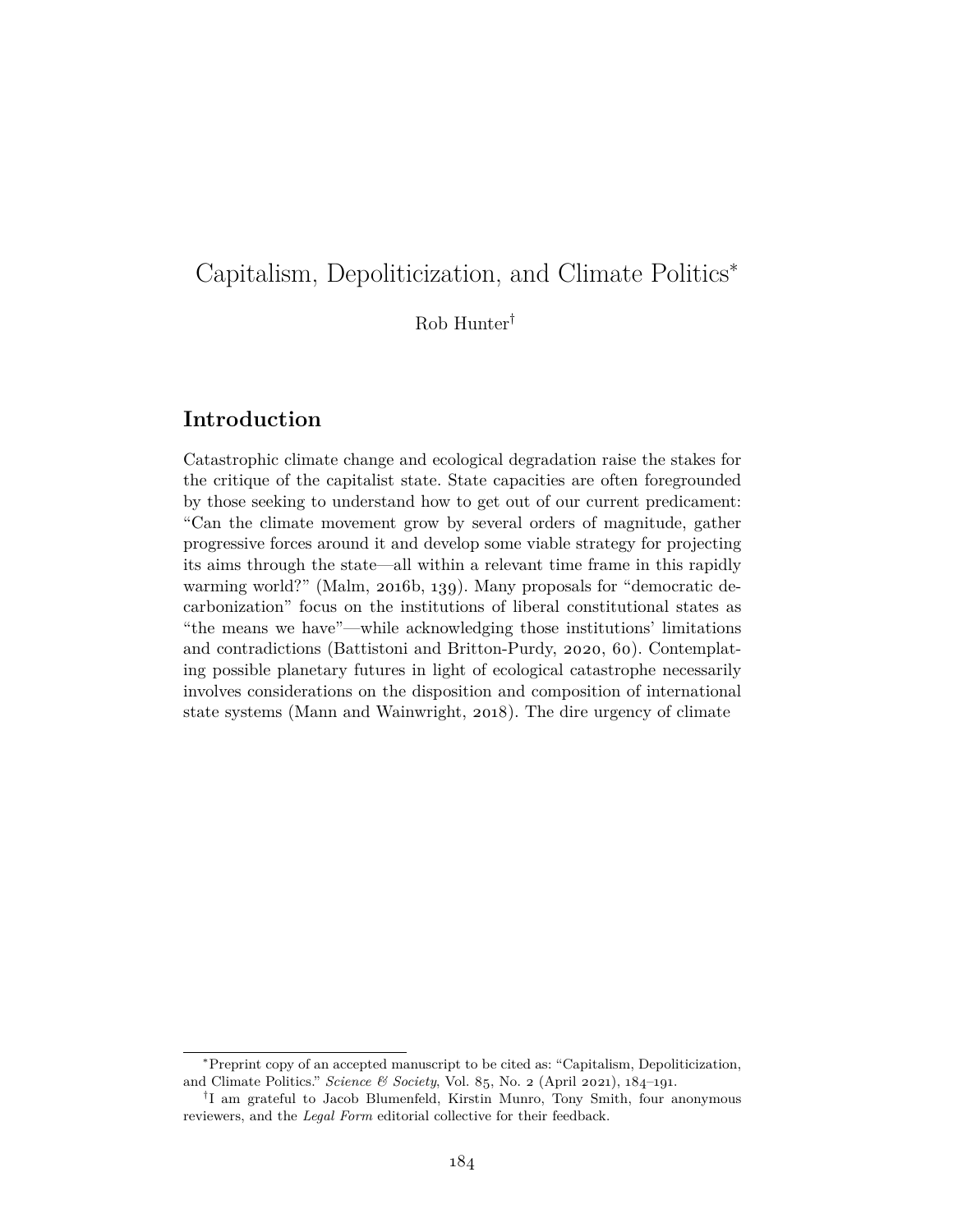# Capitalism, Depoliticization, and Climate Politics<sup>∗</sup>

Rob Hunter†

#### **Introduction**

Catastrophic climate change and ecological degradation raise the stakes for the critique of the capitalist state. State capacities are often foregrounded by those seeking to understand how to get out of our current predicament: "Can the climate movement grow by several orders of magnitude, gather progressive forces around it and develop some viable strategy for projecting its aims through the state—all within a relevant time frame in this rapidly warming world?" (Malm, 2016b, 139). Many proposals for "democratic decarbonization" focus on the institutions of liberal constitutional states as "the means we have"—while acknowledging those institutions' limitations and contradictions (Battistoni and Britton-Purdy, 2020, 60). Contemplating possible planetary futures in light of ecological catastrophe necessarily involves considerations on the disposition and composition of international state systems (Mann and Wainwright, 2018). The dire urgency of climate

<sup>∗</sup>Preprint copy of an accepted manuscript to be cited as: "Capitalism, Depoliticization, and Climate Politics." *Science & Society*, Vol. 85, No. 2 (April 2021), 184–191.

<sup>†</sup> I am grateful to Jacob Blumenfeld, Kirstin Munro, Tony Smith, four anonymous reviewers, and the *Legal Form* editorial collective for their feedback.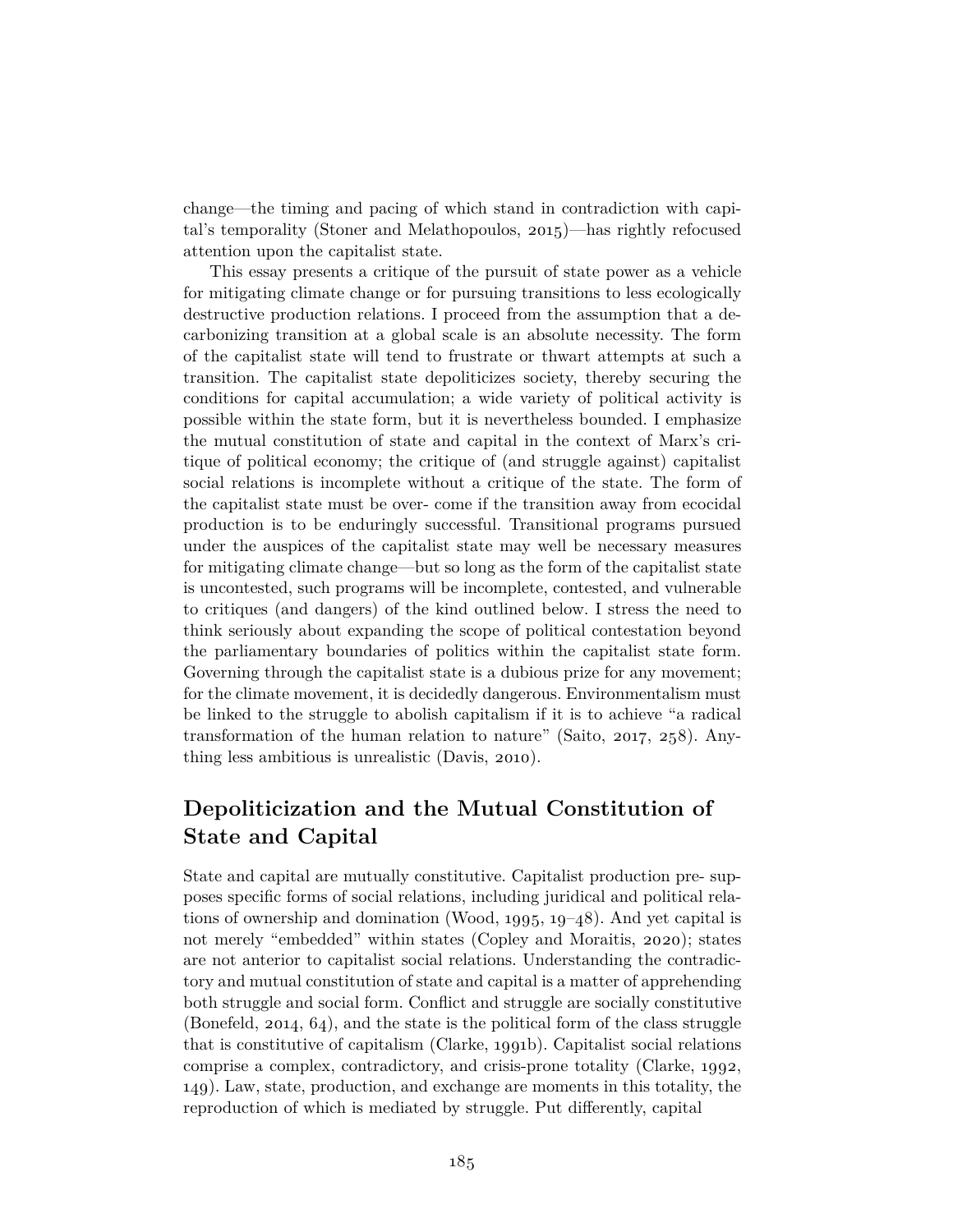change—the timing and pacing of which stand in contradiction with capital's temporality (Stoner and Melathopoulos, 2015)—has rightly refocused attention upon the capitalist state.

This essay presents a critique of the pursuit of state power as a vehicle for mitigating climate change or for pursuing transitions to less ecologically destructive production relations. I proceed from the assumption that a decarbonizing transition at a global scale is an absolute necessity. The form of the capitalist state will tend to frustrate or thwart attempts at such a transition. The capitalist state depoliticizes society, thereby securing the conditions for capital accumulation; a wide variety of political activity is possible within the state form, but it is nevertheless bounded. I emphasize the mutual constitution of state and capital in the context of Marx's critique of political economy; the critique of (and struggle against) capitalist social relations is incomplete without a critique of the state. The form of the capitalist state must be over- come if the transition away from ecocidal production is to be enduringly successful. Transitional programs pursued under the auspices of the capitalist state may well be necessary measures for mitigating climate change—but so long as the form of the capitalist state is uncontested, such programs will be incomplete, contested, and vulnerable to critiques (and dangers) of the kind outlined below. I stress the need to think seriously about expanding the scope of political contestation beyond the parliamentary boundaries of politics within the capitalist state form. Governing through the capitalist state is a dubious prize for any movement; for the climate movement, it is decidedly dangerous. Environmentalism must be linked to the struggle to abolish capitalism if it is to achieve "a radical transformation of the human relation to nature" (Saito, 2017, 258). Anything less ambitious is unrealistic (Davis, 2010).

## **Depoliticization and the Mutual Constitution of State and Capital**

State and capital are mutually constitutive. Capitalist production pre- supposes specific forms of social relations, including juridical and political relations of ownership and domination (Wood, 1995, 19–48). And yet capital is not merely "embedded" within states (Copley and Moraitis, 2020); states are not anterior to capitalist social relations. Understanding the contradictory and mutual constitution of state and capital is a matter of apprehending both struggle and social form. Conflict and struggle are socially constitutive (Bonefeld, 2014, 64), and the state is the political form of the class struggle that is constitutive of capitalism (Clarke, 1991b). Capitalist social relations comprise a complex, contradictory, and crisis-prone totality (Clarke, 1992, 149). Law, state, production, and exchange are moments in this totality, the reproduction of which is mediated by struggle. Put differently, capital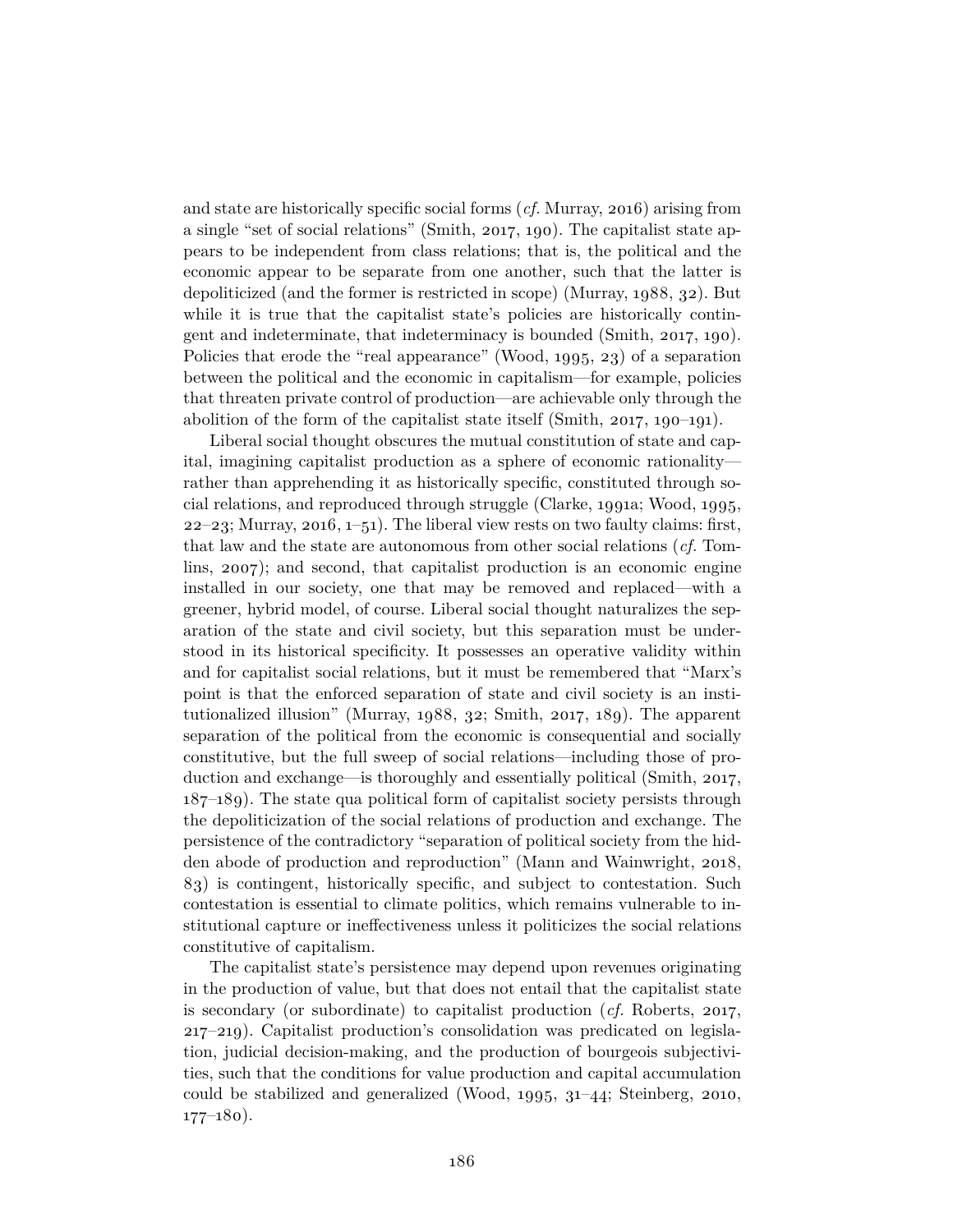and state are historically specific social forms (*cf.* Murray, 2016) arising from a single "set of social relations" (Smith, 2017, 190). The capitalist state appears to be independent from class relations; that is, the political and the economic appear to be separate from one another, such that the latter is depoliticized (and the former is restricted in scope) (Murray, 1988, 32). But while it is true that the capitalist state's policies are historically contingent and indeterminate, that indeterminacy is bounded (Smith, 2017, 190). Policies that erode the "real appearance" (Wood, 1995, 23) of a separation between the political and the economic in capitalism—for example, policies that threaten private control of production—are achievable only through the abolition of the form of the capitalist state itself (Smith, 2017, 190–191).

Liberal social thought obscures the mutual constitution of state and capital, imagining capitalist production as a sphere of economic rationality rather than apprehending it as historically specific, constituted through social relations, and reproduced through struggle (Clarke, 1991a; Wood, 1995,  $22-23$ ; Murray,  $2016$ ,  $1-51$ ). The liberal view rests on two faulty claims: first, that law and the state are autonomous from other social relations (*cf.* Tomlins, 2007); and second, that capitalist production is an economic engine installed in our society, one that may be removed and replaced—with a greener, hybrid model, of course. Liberal social thought naturalizes the separation of the state and civil society, but this separation must be understood in its historical specificity. It possesses an operative validity within and for capitalist social relations, but it must be remembered that "Marx's point is that the enforced separation of state and civil society is an institutionalized illusion" (Murray, 1988, 32; Smith, 2017, 189). The apparent separation of the political from the economic is consequential and socially constitutive, but the full sweep of social relations—including those of production and exchange—is thoroughly and essentially political (Smith, 2017, 187–189). The state qua political form of capitalist society persists through the depoliticization of the social relations of production and exchange. The persistence of the contradictory "separation of political society from the hidden abode of production and reproduction" (Mann and Wainwright, 2018, 83) is contingent, historically specific, and subject to contestation. Such contestation is essential to climate politics, which remains vulnerable to institutional capture or ineffectiveness unless it politicizes the social relations constitutive of capitalism.

The capitalist state's persistence may depend upon revenues originating in the production of value, but that does not entail that the capitalist state is secondary (or subordinate) to capitalist production (*cf.* Roberts, 2017, 217–219). Capitalist production's consolidation was predicated on legislation, judicial decision-making, and the production of bourgeois subjectivities, such that the conditions for value production and capital accumulation could be stabilized and generalized (Wood, 1995, 31–44; Steinberg, 2010,  $177-180$ ).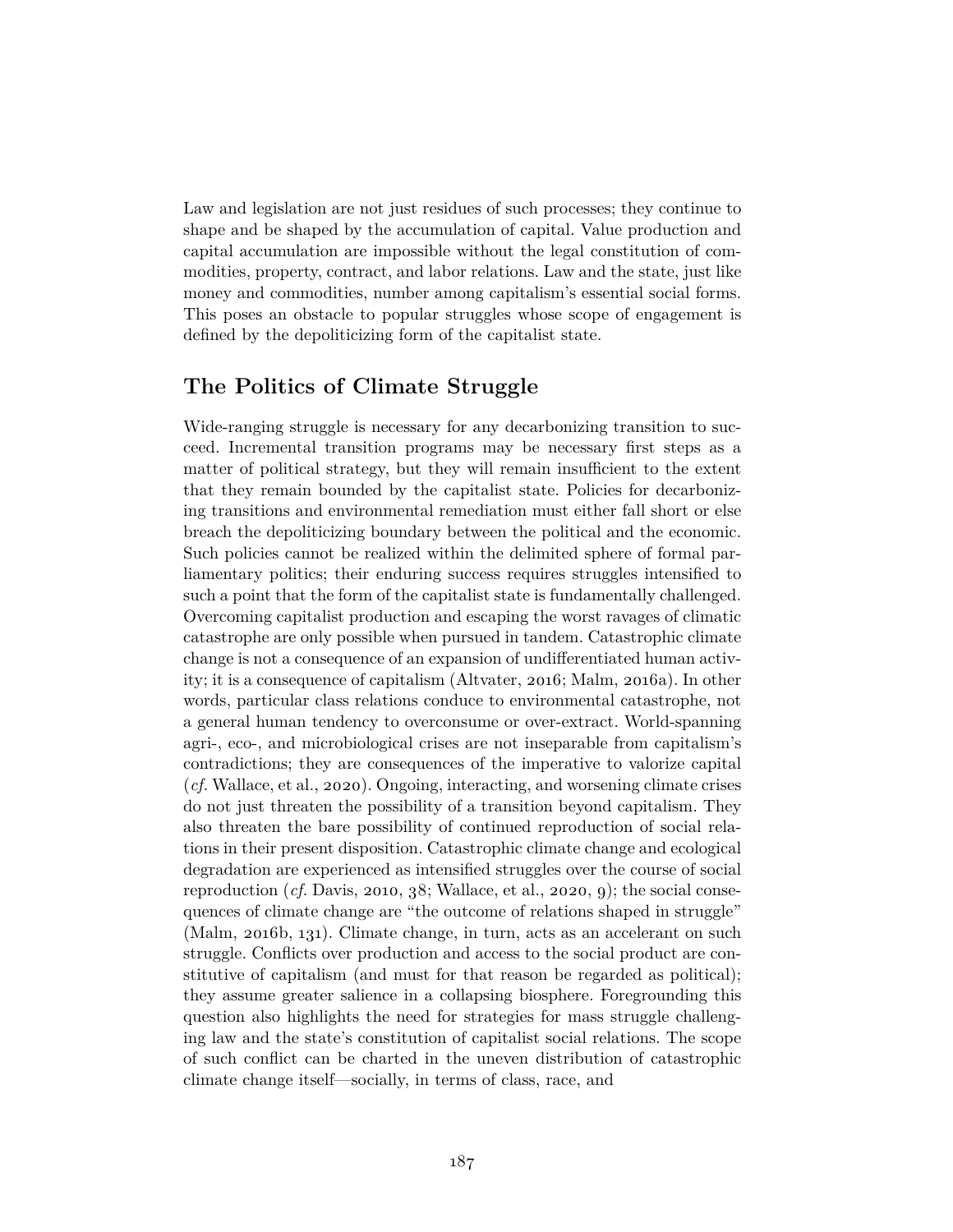Law and legislation are not just residues of such processes; they continue to shape and be shaped by the accumulation of capital. Value production and capital accumulation are impossible without the legal constitution of commodities, property, contract, and labor relations. Law and the state, just like money and commodities, number among capitalism's essential social forms. This poses an obstacle to popular struggles whose scope of engagement is defined by the depoliticizing form of the capitalist state.

### **The Politics of Climate Struggle**

Wide-ranging struggle is necessary for any decarbonizing transition to succeed. Incremental transition programs may be necessary first steps as a matter of political strategy, but they will remain insufficient to the extent that they remain bounded by the capitalist state. Policies for decarbonizing transitions and environmental remediation must either fall short or else breach the depoliticizing boundary between the political and the economic. Such policies cannot be realized within the delimited sphere of formal parliamentary politics; their enduring success requires struggles intensified to such a point that the form of the capitalist state is fundamentally challenged. Overcoming capitalist production and escaping the worst ravages of climatic catastrophe are only possible when pursued in tandem. Catastrophic climate change is not a consequence of an expansion of undifferentiated human activity; it is a consequence of capitalism (Altvater, 2016; Malm, 2016a). In other words, particular class relations conduce to environmental catastrophe, not a general human tendency to overconsume or over-extract. World-spanning agri-, eco-, and microbiological crises are not inseparable from capitalism's contradictions; they are consequences of the imperative to valorize capital (*cf.* Wallace, et al., 2020). Ongoing, interacting, and worsening climate crises do not just threaten the possibility of a transition beyond capitalism. They also threaten the bare possibility of continued reproduction of social relations in their present disposition. Catastrophic climate change and ecological degradation are experienced as intensified struggles over the course of social reproduction  $(cf.$  Davis, 2010, 38; Wallace, et al., 2020, 9); the social consequences of climate change are "the outcome of relations shaped in struggle" (Malm, 2016b, 131). Climate change, in turn, acts as an accelerant on such struggle. Conflicts over production and access to the social product are constitutive of capitalism (and must for that reason be regarded as political); they assume greater salience in a collapsing biosphere. Foregrounding this question also highlights the need for strategies for mass struggle challenging law and the state's constitution of capitalist social relations. The scope of such conflict can be charted in the uneven distribution of catastrophic climate change itself—socially, in terms of class, race, and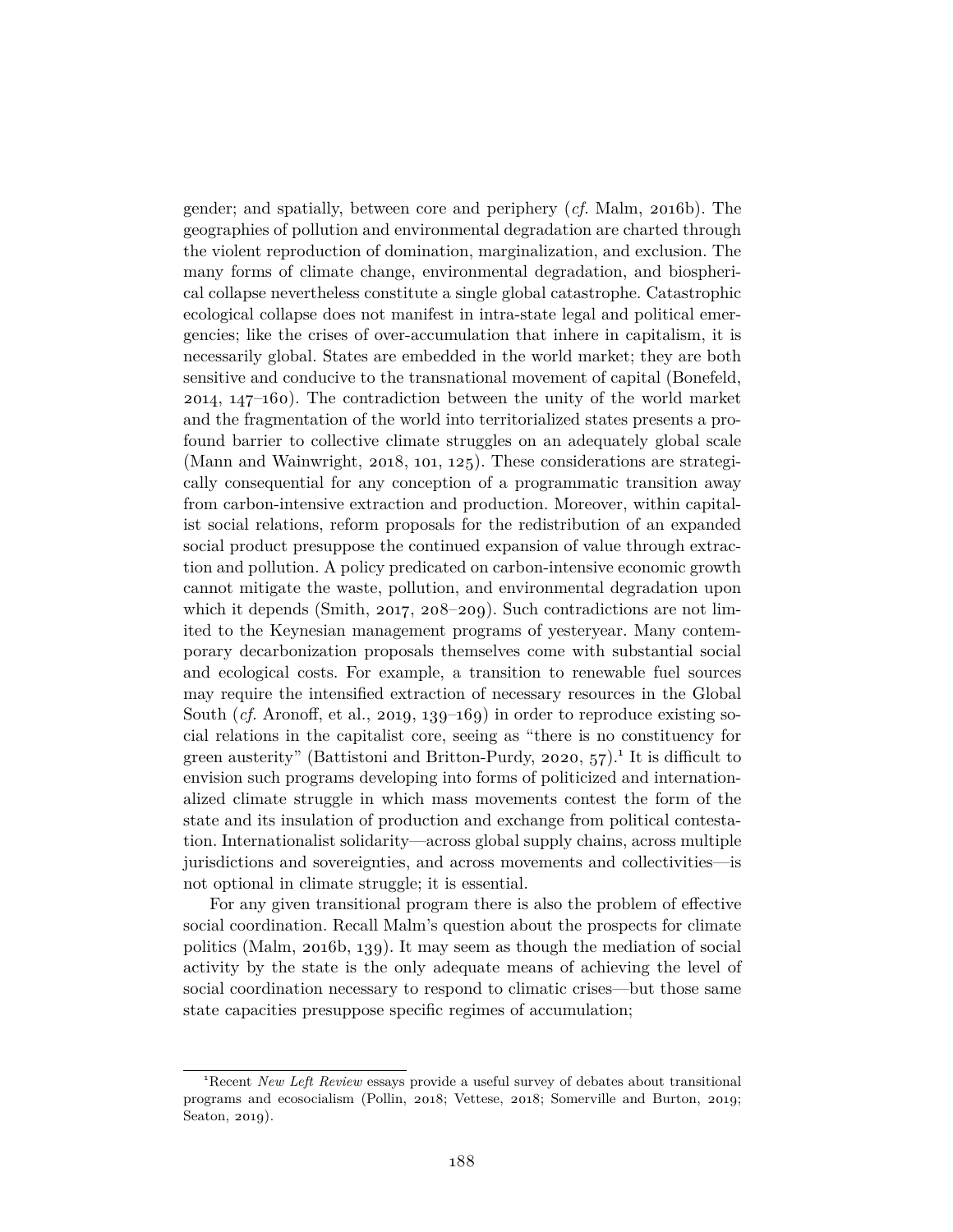gender; and spatially, between core and periphery (*cf.* Malm, 2016b). The geographies of pollution and environmental degradation are charted through the violent reproduction of domination, marginalization, and exclusion. The many forms of climate change, environmental degradation, and biospherical collapse nevertheless constitute a single global catastrophe. Catastrophic ecological collapse does not manifest in intra-state legal and political emergencies; like the crises of over-accumulation that inhere in capitalism, it is necessarily global. States are embedded in the world market; they are both sensitive and conducive to the transnational movement of capital (Bonefeld, 2014, 147–160). The contradiction between the unity of the world market and the fragmentation of the world into territorialized states presents a profound barrier to collective climate struggles on an adequately global scale (Mann and Wainwright, 2018, 101, 125). These considerations are strategically consequential for any conception of a programmatic transition away from carbon-intensive extraction and production. Moreover, within capitalist social relations, reform proposals for the redistribution of an expanded social product presuppose the continued expansion of value through extraction and pollution. A policy predicated on carbon-intensive economic growth cannot mitigate the waste, pollution, and environmental degradation upon which it depends (Smith, 2017, 208–209). Such contradictions are not limited to the Keynesian management programs of yesteryear. Many contemporary decarbonization proposals themselves come with substantial social and ecological costs. For example, a transition to renewable fuel sources may require the intensified extraction of necessary resources in the Global South (*cf.* Aronoff, et al., 2019, 139–169) in order to reproduce existing social relations in the capitalist core, seeing as "there is no constituency for green austerity" (Battistoni and Britton-Purdy, 2020,  $57$ ).<sup>1</sup> It is difficult to envision such programs developing into forms of politicized and internationalized climate struggle in which mass movements contest the form of the state and its insulation of production and exchange from political contestation. Internationalist solidarity—across global supply chains, across multiple jurisdictions and sovereignties, and across movements and collectivities—is not optional in climate struggle; it is essential.

For any given transitional program there is also the problem of effective social coordination. Recall Malm's question about the prospects for climate politics (Malm, 2016b, 139). It may seem as though the mediation of social activity by the state is the only adequate means of achieving the level of social coordination necessary to respond to climatic crises—but those same state capacities presuppose specific regimes of accumulation;

<sup>1</sup>Recent *New Left Review* essays provide a useful survey of debates about transitional programs and ecosocialism (Pollin, 2018; Vettese, 2018; Somerville and Burton, 2019; Seaton, 2019).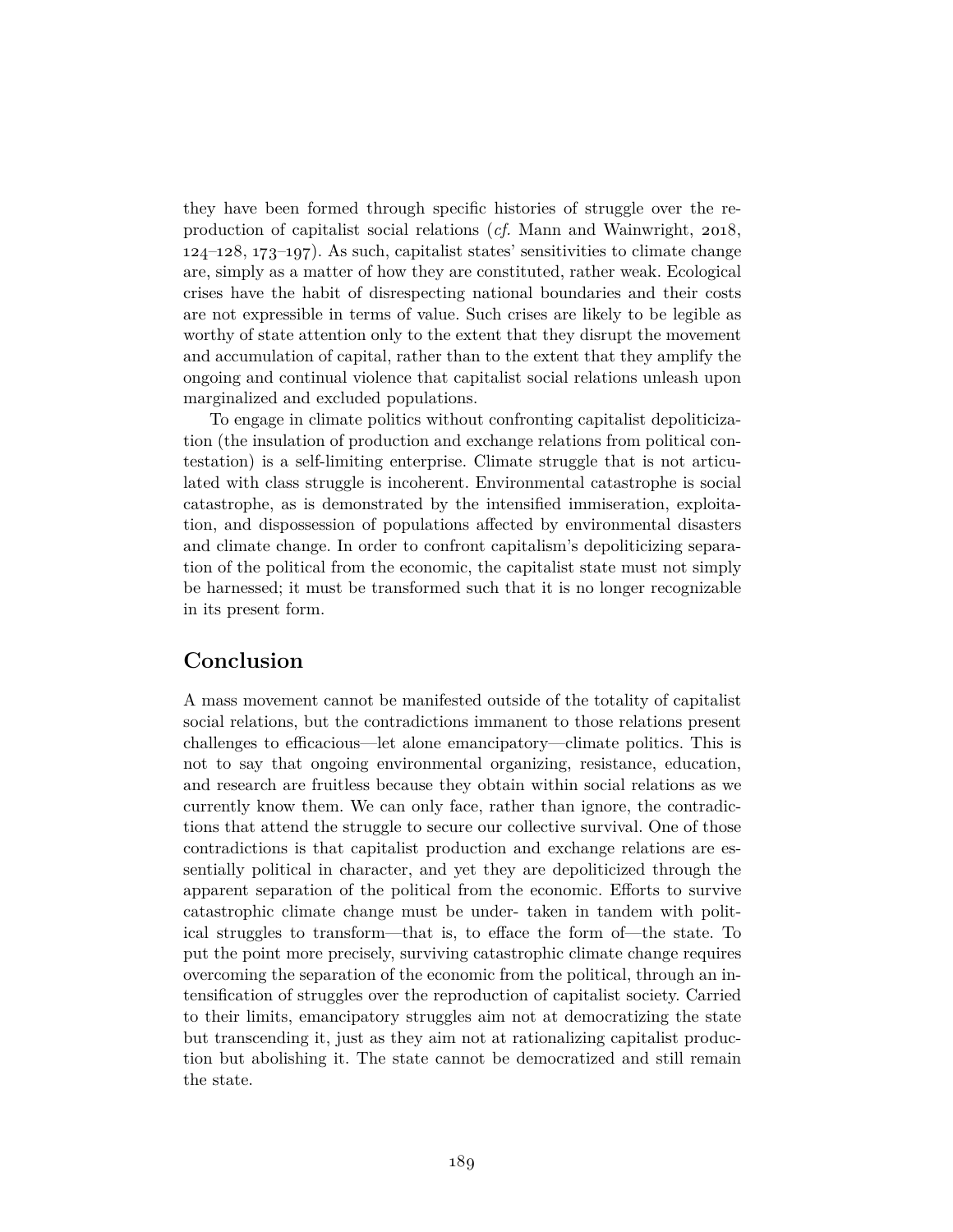they have been formed through specific histories of struggle over the reproduction of capitalist social relations (*cf.* Mann and Wainwright, 2018, 124–128, 173–197). As such, capitalist states' sensitivities to climate change are, simply as a matter of how they are constituted, rather weak. Ecological crises have the habit of disrespecting national boundaries and their costs are not expressible in terms of value. Such crises are likely to be legible as worthy of state attention only to the extent that they disrupt the movement and accumulation of capital, rather than to the extent that they amplify the ongoing and continual violence that capitalist social relations unleash upon marginalized and excluded populations.

To engage in climate politics without confronting capitalist depoliticization (the insulation of production and exchange relations from political contestation) is a self-limiting enterprise. Climate struggle that is not articulated with class struggle is incoherent. Environmental catastrophe is social catastrophe, as is demonstrated by the intensified immiseration, exploitation, and dispossession of populations affected by environmental disasters and climate change. In order to confront capitalism's depoliticizing separation of the political from the economic, the capitalist state must not simply be harnessed; it must be transformed such that it is no longer recognizable in its present form.

### **Conclusion**

A mass movement cannot be manifested outside of the totality of capitalist social relations, but the contradictions immanent to those relations present challenges to efficacious—let alone emancipatory—climate politics. This is not to say that ongoing environmental organizing, resistance, education, and research are fruitless because they obtain within social relations as we currently know them. We can only face, rather than ignore, the contradictions that attend the struggle to secure our collective survival. One of those contradictions is that capitalist production and exchange relations are essentially political in character, and yet they are depoliticized through the apparent separation of the political from the economic. Efforts to survive catastrophic climate change must be under- taken in tandem with political struggles to transform—that is, to efface the form of—the state. To put the point more precisely, surviving catastrophic climate change requires overcoming the separation of the economic from the political, through an intensification of struggles over the reproduction of capitalist society. Carried to their limits, emancipatory struggles aim not at democratizing the state but transcending it, just as they aim not at rationalizing capitalist production but abolishing it. The state cannot be democratized and still remain the state.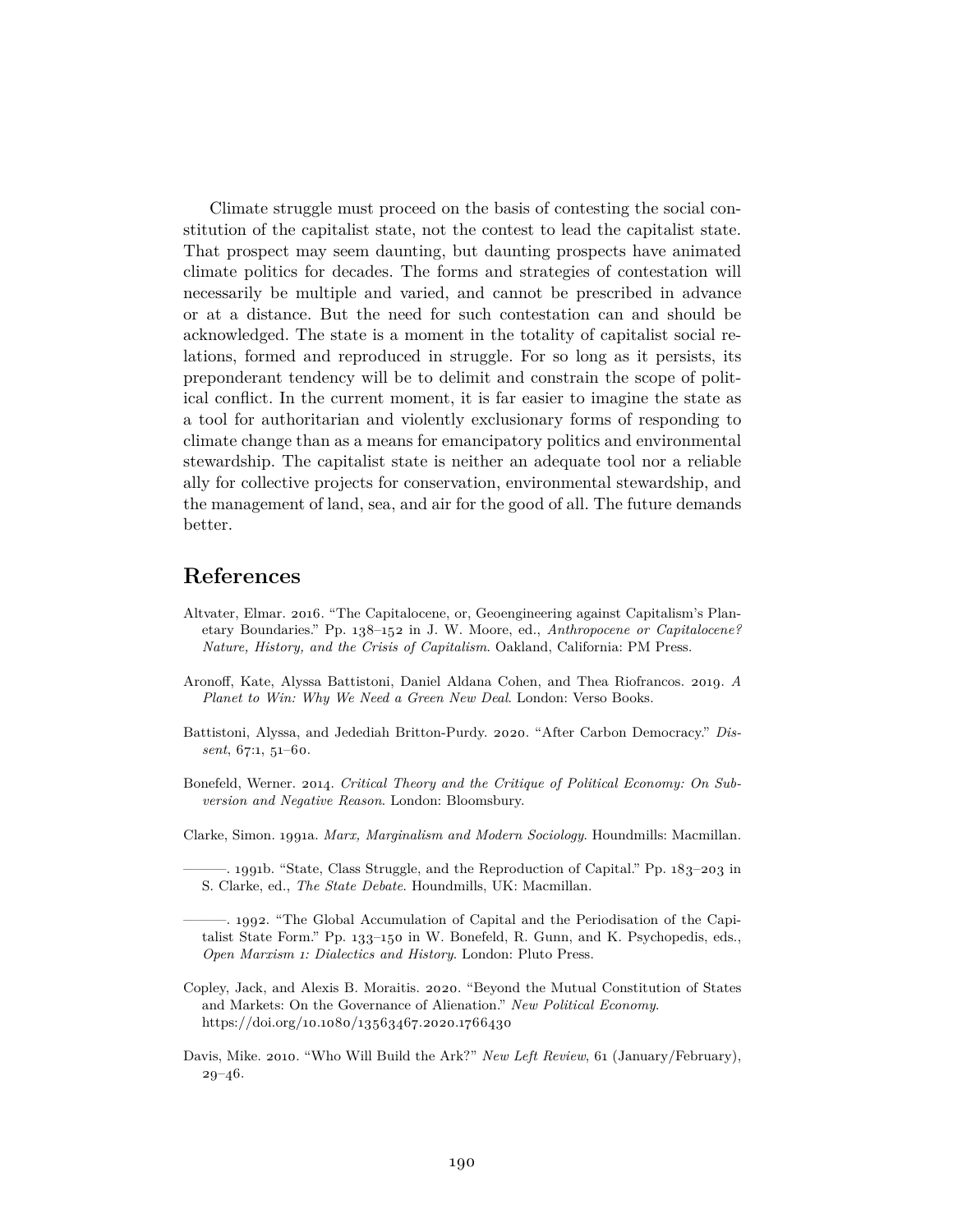Climate struggle must proceed on the basis of contesting the social constitution of the capitalist state, not the contest to lead the capitalist state. That prospect may seem daunting, but daunting prospects have animated climate politics for decades. The forms and strategies of contestation will necessarily be multiple and varied, and cannot be prescribed in advance or at a distance. But the need for such contestation can and should be acknowledged. The state is a moment in the totality of capitalist social relations, formed and reproduced in struggle. For so long as it persists, its preponderant tendency will be to delimit and constrain the scope of political conflict. In the current moment, it is far easier to imagine the state as a tool for authoritarian and violently exclusionary forms of responding to climate change than as a means for emancipatory politics and environmental stewardship. The capitalist state is neither an adequate tool nor a reliable ally for collective projects for conservation, environmental stewardship, and the management of land, sea, and air for the good of all. The future demands better.

#### **References**

- Altvater, Elmar. 2016. "The Capitalocene, or, Geoengineering against Capitalism's Planetary Boundaries." Pp. 138–152 in J. W. Moore, ed., *Anthropocene or Capitalocene? Nature, History, and the Crisis of Capitalism*. Oakland, California: PM Press.
- Aronoff, Kate, Alyssa Battistoni, Daniel Aldana Cohen, and Thea Riofrancos. 2019. *A Planet to Win: Why We Need a Green New Deal*. London: Verso Books.
- Battistoni, Alyssa, and Jedediah Britton-Purdy. 2020. "After Carbon Democracy." *Dissent*, 67:1, 51–60.
- Bonefeld, Werner. 2014. *Critical Theory and the Critique of Political Economy: On Subversion and Negative Reason*. London: Bloomsbury.
- Clarke, Simon. 1991a. *Marx, Marginalism and Modern Sociology*. Houndmills: Macmillan.

. 1991b. "State, Class Struggle, and the Reproduction of Capital." Pp. 183-203 in S. Clarke, ed., *The State Debate*. Houndmills, UK: Macmillan.

———. 1992. "The Global Accumulation of Capital and the Periodisation of the Capitalist State Form." Pp. 133–150 in W. Bonefeld, R. Gunn, and K. Psychopedis, eds., *Open Marxism 1: Dialectics and History*. London: Pluto Press.

- Copley, Jack, and Alexis B. Moraitis. 2020. "Beyond the Mutual Constitution of States and Markets: On the Governance of Alienation." *New Political Economy*. https://doi.org/10.1080/13563467.2020.1766430
- Davis, Mike. 2010. "Who Will Build the Ark?" *New Left Review*, 61 (January/February), 29–46.